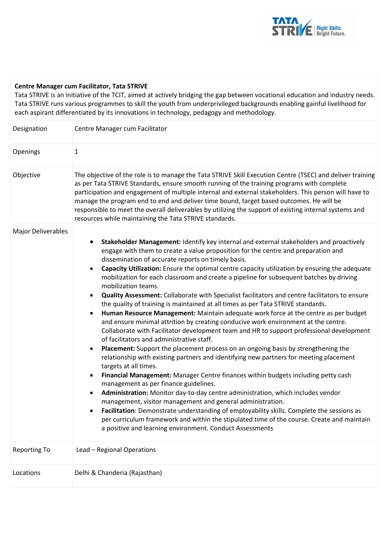

## **Centre Manager cum Facilitator, Tata STRIVE**

Tata STRIVE is an initiative of the TCIT, aimed at actively bridging the gap between vocational education and industry needs. Tata STRIVE runs various programmes to skill the youth from underprivileged backgrounds enabling gainful livelihood for each aspirant differentiated by its innovations in technology, pedagogy and methodology.

| Designation               | Centre Manager cum Facilitator                                                                                                                                                                                                                                                                                                                                                                                                                                                                                                                                                                                                                                                                                                                                                                                                                                                                                                                                                                                                                                                                                                                                                                                                                                                                                                                                                                                                                                                                                                                                                                                                                                                                                                                                                                          |
|---------------------------|---------------------------------------------------------------------------------------------------------------------------------------------------------------------------------------------------------------------------------------------------------------------------------------------------------------------------------------------------------------------------------------------------------------------------------------------------------------------------------------------------------------------------------------------------------------------------------------------------------------------------------------------------------------------------------------------------------------------------------------------------------------------------------------------------------------------------------------------------------------------------------------------------------------------------------------------------------------------------------------------------------------------------------------------------------------------------------------------------------------------------------------------------------------------------------------------------------------------------------------------------------------------------------------------------------------------------------------------------------------------------------------------------------------------------------------------------------------------------------------------------------------------------------------------------------------------------------------------------------------------------------------------------------------------------------------------------------------------------------------------------------------------------------------------------------|
| Openings                  | $\mathbf{1}$                                                                                                                                                                                                                                                                                                                                                                                                                                                                                                                                                                                                                                                                                                                                                                                                                                                                                                                                                                                                                                                                                                                                                                                                                                                                                                                                                                                                                                                                                                                                                                                                                                                                                                                                                                                            |
| Objective                 | The objective of the role is to manage the Tata STRIVE Skill Execution Centre (TSEC) and deliver training<br>as per Tata STRIVE Standards, ensure smooth running of the training programs with complete<br>participation and engagement of multiple internal and external stakeholders. This person will have to<br>manage the program end to end and deliver time bound, target based outcomes. He will be<br>responsible to meet the overall deliverables by utilizing the support of existing internal systems and<br>resources while maintaining the Tata STRIVE standards.                                                                                                                                                                                                                                                                                                                                                                                                                                                                                                                                                                                                                                                                                                                                                                                                                                                                                                                                                                                                                                                                                                                                                                                                                         |
| <b>Major Deliverables</b> | Stakeholder Management: Identify key internal and external stakeholders and proactively<br>$\bullet$<br>engage with them to create a value proposition for the centre and preparation and<br>dissemination of accurate reports on timely basis.<br>Capacity Utilization: Ensure the optimal centre capacity utilization by ensuring the adequate<br>$\bullet$<br>mobilization for each classroom and create a pipeline for subsequent batches by driving<br>mobilization teams.<br>Quality Assessment: Collaborate with Specialist facilitators and centre facilitators to ensure<br>$\bullet$<br>the quality of training is maintained at all times as per Tata STRIVE standards.<br>Human Resource Management: Maintain adequate work force at the centre as per budget<br>$\bullet$<br>and ensure minimal attrition by creating conducive work environment at the centre.<br>Collaborate with Facilitator development team and HR to support professional development<br>of facilitators and administrative staff.<br>Placement: Support the placement process on an ongoing basis by strengthening the<br>٠<br>relationship with existing partners and identifying new partners for meeting placement<br>targets at all times.<br>Financial Management: Manager Centre finances within budgets including petty cash<br>$\bullet$<br>management as per finance guidelines.<br>Administration: Monitor day-to-day centre administration, which includes vendor<br>$\bullet$<br>management, visitor management and general administration.<br>Facilitation: Demonstrate understanding of employability skills. Complete the sessions as<br>٠<br>per curriculum framework and within the stipulated time of the course. Create and maintain<br>a positive and learning environment. Conduct Assessments |
| <b>Reporting To</b>       | Lead - Regional Operations                                                                                                                                                                                                                                                                                                                                                                                                                                                                                                                                                                                                                                                                                                                                                                                                                                                                                                                                                                                                                                                                                                                                                                                                                                                                                                                                                                                                                                                                                                                                                                                                                                                                                                                                                                              |
| Locations                 | Delhi & Chanderia (Rajasthan)                                                                                                                                                                                                                                                                                                                                                                                                                                                                                                                                                                                                                                                                                                                                                                                                                                                                                                                                                                                                                                                                                                                                                                                                                                                                                                                                                                                                                                                                                                                                                                                                                                                                                                                                                                           |